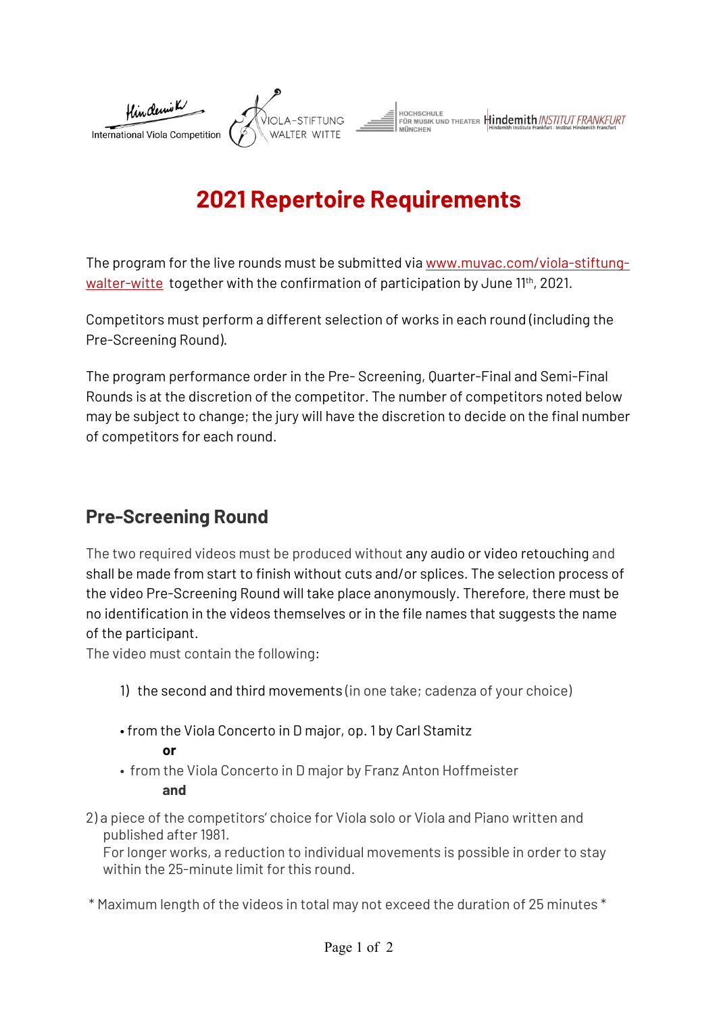

# **2021 Repertoire Requirements**

The program for the live rounds must be submitted via www.muvac.com/viola-stiftungwalter-witte together with the confirmation of participation by June 11th, 2021.

Competitors must perform a different selection of works in each round (including the Pre-Screening Round).

The program performance order in the Pre- Screening, Quarter-Final and Semi-Final Rounds is at the discretion of the competitor. The number of competitors noted below may be subject to change; the jury will have the discretion to decide on the final number of competitors for each round.

### **Pre-Screening Round**

The two required videos must be produced without any audio or video retouching and shall be made from start to finish without cuts and/or splices. The selection process of the video Pre-Screening Round will take place anonymously. Therefore, there must be no identification in the videos themselves or in the file names that suggests the name of the participant.

The video must contain the following:

- 1) the second and third movements (in one take; cadenza of your choice)
- from the Viola Concerto in D major, op. 1 by Carl Stamitz

**or**

- from the Viola Concerto in D major by Franz Anton Hoffmeister **and**
- 2) a piece of the competitors' choice for Viola solo or Viola and Piano written and published after 1981.

For longer works, a reduction to individual movements is possible in order to stay within the 25-minute limit for this round.

\* Maximum length of the videos in total may not exceed the duration of 25 minutes \*